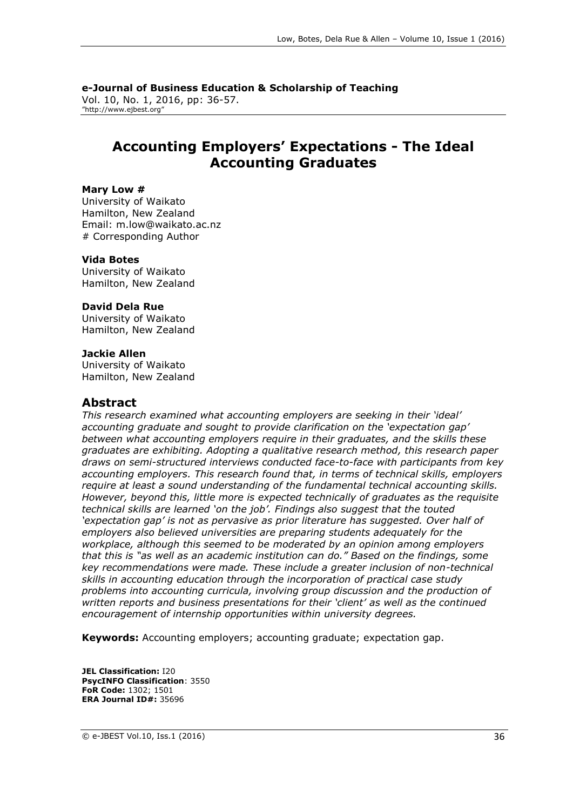**e-Journal of Business Education & Scholarship of Teaching** Vol. 10, No. 1, 2016, pp: 36-57. "http://www.ejbest.org"

# **Accounting Employers' Expectations - The Ideal Accounting Graduates**

#### **Mary Low #**

University of Waikato Hamilton, New Zealand Email: m.low@waikato.ac.nz # Corresponding Author

#### **Vida Botes**

University of Waikato Hamilton, New Zealand

#### **David Dela Rue**

University of Waikato Hamilton, New Zealand

#### **Jackie Allen**

University of Waikato Hamilton, New Zealand

#### **Abstract**

*This research examined what accounting employers are seeking in their 'ideal' accounting graduate and sought to provide clarification on the 'expectation gap' between what accounting employers require in their graduates, and the skills these graduates are exhibiting. Adopting a qualitative research method, this research paper draws on semi-structured interviews conducted face-to-face with participants from key accounting employers. This research found that, in terms of technical skills, employers require at least a sound understanding of the fundamental technical accounting skills. However, beyond this, little more is expected technically of graduates as the requisite technical skills are learned 'on the job'. Findings also suggest that the touted 'expectation gap' is not as pervasive as prior literature has suggested. Over half of employers also believed universities are preparing students adequately for the workplace, although this seemed to be moderated by an opinion among employers that this is "as well as an academic institution can do." Based on the findings, some key recommendations were made. These include a greater inclusion of non-technical skills in accounting education through the incorporation of practical case study problems into accounting curricula, involving group discussion and the production of written reports and business presentations for their 'client' as well as the continued encouragement of internship opportunities within university degrees.*

**Keywords:** Accounting employers; accounting graduate; expectation gap.

**JEL Classification:** I20 **PsycINFO Classification**: 3550 **FoR Code:** 1302; 1501 **ERA Journal ID#:** 35696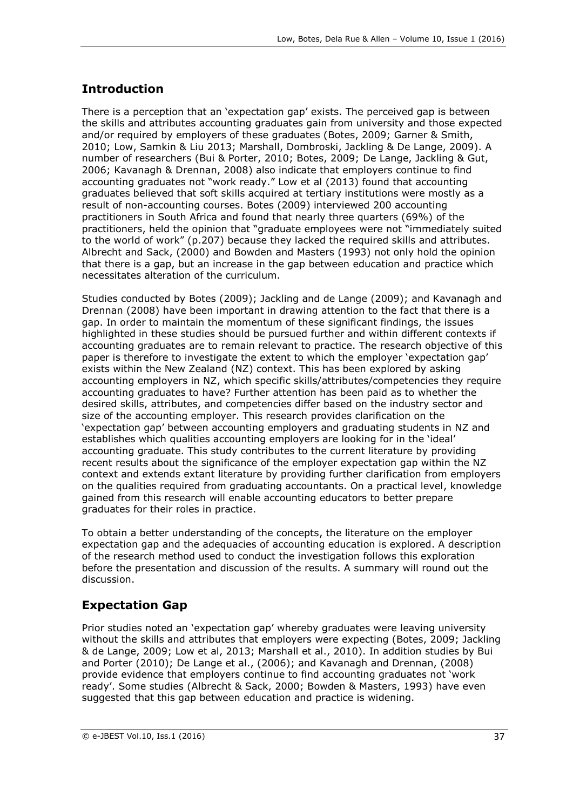# **Introduction**

There is a perception that an 'expectation gap' exists. The perceived gap is between the skills and attributes accounting graduates gain from university and those expected and/or required by employers of these graduates (Botes, 2009; Garner & Smith, 2010; Low, Samkin & Liu 2013; Marshall, Dombroski, Jackling & De Lange, 2009). A number of researchers (Bui & Porter, 2010; Botes, 2009; De Lange, Jackling & Gut, 2006; Kavanagh & Drennan, 2008) also indicate that employers continue to find accounting graduates not "work ready." Low et al (2013) found that accounting graduates believed that soft skills acquired at tertiary institutions were mostly as a result of non-accounting courses. Botes (2009) interviewed 200 accounting practitioners in South Africa and found that nearly three quarters (69%) of the practitioners, held the opinion that "graduate employees were not "immediately suited to the world of work" (p.207) because they lacked the required skills and attributes. Albrecht and Sack, (2000) and Bowden and Masters (1993) not only hold the opinion that there is a gap, but an increase in the gap between education and practice which necessitates alteration of the curriculum.

Studies conducted by Botes (2009); Jackling and de Lange (2009); and Kavanagh and Drennan (2008) have been important in drawing attention to the fact that there is a gap. In order to maintain the momentum of these significant findings, the issues highlighted in these studies should be pursued further and within different contexts if accounting graduates are to remain relevant to practice. The research objective of this paper is therefore to investigate the extent to which the employer 'expectation gap' exists within the New Zealand (NZ) context. This has been explored by asking accounting employers in NZ, which specific skills/attributes/competencies they require accounting graduates to have? Further attention has been paid as to whether the desired skills, attributes, and competencies differ based on the industry sector and size of the accounting employer. This research provides clarification on the 'expectation gap' between accounting employers and graduating students in NZ and establishes which qualities accounting employers are looking for in the 'ideal' accounting graduate. This study contributes to the current literature by providing recent results about the significance of the employer expectation gap within the NZ context and extends extant literature by providing further clarification from employers on the qualities required from graduating accountants. On a practical level, knowledge gained from this research will enable accounting educators to better prepare graduates for their roles in practice.

To obtain a better understanding of the concepts, the literature on the employer expectation gap and the adequacies of accounting education is explored. A description of the research method used to conduct the investigation follows this exploration before the presentation and discussion of the results. A summary will round out the discussion.

# **Expectation Gap**

Prior studies noted an 'expectation gap' whereby graduates were leaving university without the skills and attributes that employers were expecting (Botes, 2009; Jackling & de Lange, 2009; Low et al, 2013; Marshall et al., 2010). In addition studies by Bui and Porter (2010); De Lange et al., (2006); and Kavanagh and Drennan, (2008) provide evidence that employers continue to find accounting graduates not 'work ready'. Some studies (Albrecht & Sack, 2000; Bowden & Masters, 1993) have even suggested that this gap between education and practice is widening.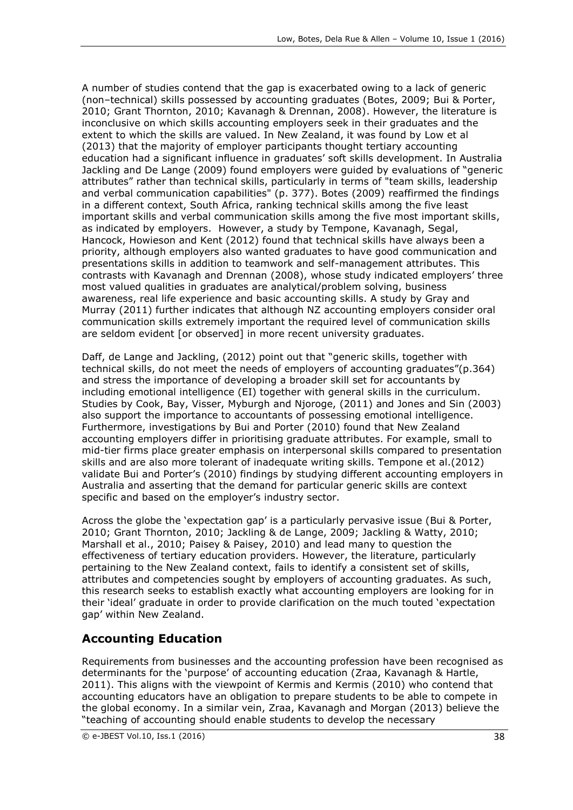A number of studies contend that the gap is exacerbated owing to a lack of generic (non–technical) skills possessed by accounting graduates (Botes, 2009; Bui & Porter, 2010; Grant Thornton, 2010; Kavanagh & Drennan, 2008). However, the literature is inconclusive on which skills accounting employers seek in their graduates and the extent to which the skills are valued. In New Zealand, it was found by Low et al (2013) that the majority of employer participants thought tertiary accounting education had a significant influence in graduates' soft skills development. In Australia Jackling and De Lange (2009) found employers were guided by evaluations of "generic attributes" rather than technical skills, particularly in terms of "team skills, leadership and verbal communication capabilities" (p. 377). Botes (2009) reaffirmed the findings in a different context, South Africa, ranking technical skills among the five least important skills and verbal communication skills among the five most important skills, as indicated by employers. However, a study by Tempone, Kavanagh, Segal, Hancock, Howieson and Kent (2012) found that technical skills have always been a priority, although employers also wanted graduates to have good communication and presentations skills in addition to teamwork and self-management attributes. This contrasts with Kavanagh and Drennan (2008), whose study indicated employers' three most valued qualities in graduates are analytical/problem solving, business awareness, real life experience and basic accounting skills. A study by Gray and Murray (2011) further indicates that although NZ accounting employers consider oral communication skills extremely important the required level of communication skills are seldom evident [or observed] in more recent university graduates.

Daff, de Lange and Jackling, (2012) point out that "generic skills, together with technical skills, do not meet the needs of employers of accounting graduates"(p.364) and stress the importance of developing a broader skill set for accountants by including emotional intelligence (EI) together with general skills in the curriculum. Studies by Cook, Bay, Visser, Myburgh and Njoroge, (2011) and Jones and Sin (2003) also support the importance to accountants of possessing emotional intelligence. Furthermore, investigations by Bui and Porter (2010) found that New Zealand accounting employers differ in prioritising graduate attributes. For example, small to mid-tier firms place greater emphasis on interpersonal skills compared to presentation skills and are also more tolerant of inadequate writing skills. Tempone et al.(2012) validate Bui and Porter's (2010) findings by studying different accounting employers in Australia and asserting that the demand for particular generic skills are context specific and based on the employer's industry sector.

Across the globe the 'expectation gap' is a particularly pervasive issue (Bui & Porter, 2010; Grant Thornton, 2010; Jackling & de Lange, 2009; Jackling & Watty, 2010; Marshall et al., 2010; Paisey & Paisey, 2010) and lead many to question the effectiveness of tertiary education providers. However, the literature, particularly pertaining to the New Zealand context, fails to identify a consistent set of skills, attributes and competencies sought by employers of accounting graduates. As such, this research seeks to establish exactly what accounting employers are looking for in their 'ideal' graduate in order to provide clarification on the much touted 'expectation gap' within New Zealand.

# **Accounting Education**

Requirements from businesses and the accounting profession have been recognised as determinants for the 'purpose' of accounting education (Zraa, Kavanagh & Hartle, 2011). This aligns with the viewpoint of Kermis and Kermis (2010) who contend that accounting educators have an obligation to prepare students to be able to compete in the global economy. In a similar vein, Zraa, Kavanagh and Morgan (2013) believe the "teaching of accounting should enable students to develop the necessary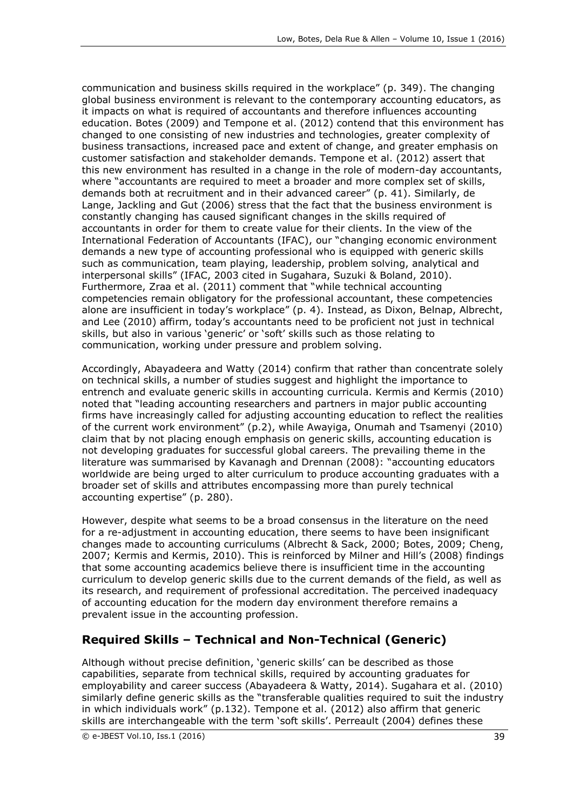communication and business skills required in the workplace" (p. 349). The changing global business environment is relevant to the contemporary accounting educators, as it impacts on what is required of accountants and therefore influences accounting education. Botes (2009) and Tempone et al. (2012) contend that this environment has changed to one consisting of new industries and technologies, greater complexity of business transactions, increased pace and extent of change, and greater emphasis on customer satisfaction and stakeholder demands. Tempone et al. (2012) assert that this new environment has resulted in a change in the role of modern-day accountants, where "accountants are required to meet a broader and more complex set of skills, demands both at recruitment and in their advanced career" (p. 41). Similarly, de Lange, Jackling and Gut (2006) stress that the fact that the business environment is constantly changing has caused significant changes in the skills required of accountants in order for them to create value for their clients. In the view of the International Federation of Accountants (IFAC), our "changing economic environment demands a new type of accounting professional who is equipped with generic skills such as communication, team playing, leadership, problem solving, analytical and interpersonal skills" (IFAC, 2003 cited in Sugahara, Suzuki & Boland, 2010). Furthermore, Zraa et al. (2011) comment that "while technical accounting competencies remain obligatory for the professional accountant, these competencies alone are insufficient in today's workplace" (p. 4). Instead, as Dixon, Belnap, Albrecht, and Lee (2010) affirm, today's accountants need to be proficient not just in technical skills, but also in various 'generic' or 'soft' skills such as those relating to communication, working under pressure and problem solving.

Accordingly, Abayadeera and Watty (2014) confirm that rather than concentrate solely on technical skills, a number of studies suggest and highlight the importance to entrench and evaluate generic skills in accounting curricula. Kermis and Kermis (2010) noted that "leading accounting researchers and partners in major public accounting firms have increasingly called for adjusting accounting education to reflect the realities of the current work environment" (p.2), while Awayiga, Onumah and Tsamenyi (2010) claim that by not placing enough emphasis on generic skills, accounting education is not developing graduates for successful global careers. The prevailing theme in the literature was summarised by Kavanagh and Drennan (2008): "accounting educators worldwide are being urged to alter curriculum to produce accounting graduates with a broader set of skills and attributes encompassing more than purely technical accounting expertise" (p. 280).

However, despite what seems to be a broad consensus in the literature on the need for a re-adjustment in accounting education, there seems to have been insignificant changes made to accounting curriculums (Albrecht & Sack, 2000; Botes, 2009; Cheng, 2007; Kermis and Kermis, 2010). This is reinforced by Milner and Hill's (2008) findings that some accounting academics believe there is insufficient time in the accounting curriculum to develop generic skills due to the current demands of the field, as well as its research, and requirement of professional accreditation. The perceived inadequacy of accounting education for the modern day environment therefore remains a prevalent issue in the accounting profession.

# **Required Skills – Technical and Non-Technical (Generic)**

Although without precise definition, 'generic skills' can be described as those capabilities, separate from technical skills, required by accounting graduates for employability and career success (Abayadeera & Watty, 2014). Sugahara et al. (2010) similarly define generic skills as the "transferable qualities required to suit the industry in which individuals work" (p.132). Tempone et al. (2012) also affirm that generic skills are interchangeable with the term 'soft skills'. Perreault (2004) defines these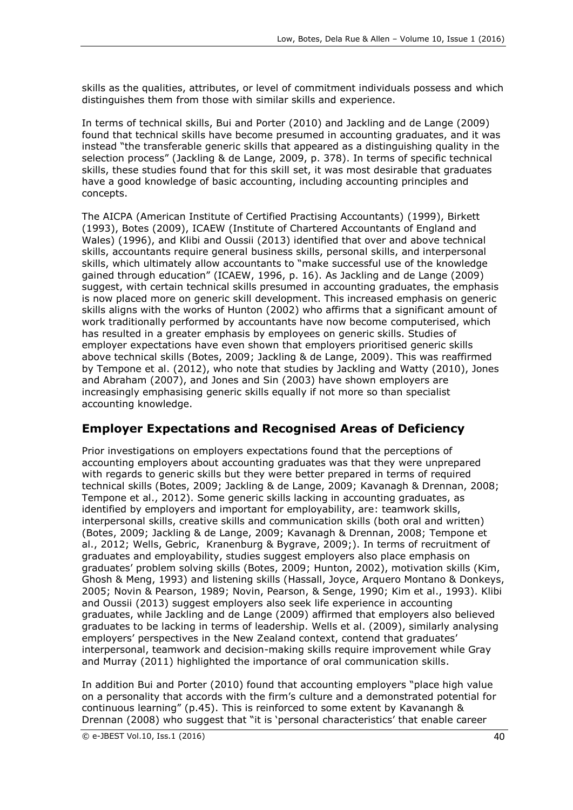skills as the qualities, attributes, or level of commitment individuals possess and which distinguishes them from those with similar skills and experience.

In terms of technical skills, Bui and Porter (2010) and Jackling and de Lange (2009) found that technical skills have become presumed in accounting graduates, and it was instead "the transferable generic skills that appeared as a distinguishing quality in the selection process" (Jackling & de Lange, 2009, p. 378). In terms of specific technical skills, these studies found that for this skill set, it was most desirable that graduates have a good knowledge of basic accounting, including accounting principles and concepts.

The AICPA (American Institute of Certified Practising Accountants) (1999), Birkett (1993), Botes (2009), ICAEW (Institute of Chartered Accountants of England and Wales) (1996), and Klibi and Oussii (2013) identified that over and above technical skills, accountants require general business skills, personal skills, and interpersonal skills, which ultimately allow accountants to "make successful use of the knowledge gained through education" (ICAEW, 1996, p. 16). As Jackling and de Lange (2009) suggest, with certain technical skills presumed in accounting graduates, the emphasis is now placed more on generic skill development. This increased emphasis on generic skills aligns with the works of Hunton (2002) who affirms that a significant amount of work traditionally performed by accountants have now become computerised, which has resulted in a greater emphasis by employees on generic skills. Studies of employer expectations have even shown that employers prioritised generic skills above technical skills (Botes, 2009; Jackling & de Lange, 2009). This was reaffirmed by Tempone et al. (2012), who note that studies by Jackling and Watty (2010), Jones and Abraham (2007), and Jones and Sin (2003) have shown employers are increasingly emphasising generic skills equally if not more so than specialist accounting knowledge.

# **Employer Expectations and Recognised Areas of Deficiency**

Prior investigations on employers expectations found that the perceptions of accounting employers about accounting graduates was that they were unprepared with regards to generic skills but they were better prepared in terms of required technical skills (Botes, 2009; Jackling & de Lange, 2009; Kavanagh & Drennan, 2008; Tempone et al., 2012). Some generic skills lacking in accounting graduates, as identified by employers and important for employability, are: teamwork skills, interpersonal skills, creative skills and communication skills (both oral and written) (Botes, 2009; Jackling & de Lange, 2009; Kavanagh & Drennan, 2008; Tempone et al., 2012; Wells, Gebric, Kranenburg & Bygrave, 2009;). In terms of recruitment of graduates and employability, studies suggest employers also place emphasis on graduates' problem solving skills (Botes, 2009; Hunton, 2002), motivation skills (Kim, Ghosh & Meng, 1993) and listening skills (Hassall, Joyce, Arquero Montano & Donkeys, 2005; Novin & Pearson, 1989; Novin, Pearson, & Senge, 1990; Kim et al., 1993). Klibi and Oussii (2013) suggest employers also seek life experience in accounting graduates, while Jackling and de Lange (2009) affirmed that employers also believed graduates to be lacking in terms of leadership. Wells et al. (2009), similarly analysing employers' perspectives in the New Zealand context, contend that graduates' interpersonal, teamwork and decision-making skills require improvement while Gray and Murray (2011) highlighted the importance of oral communication skills.

In addition Bui and Porter (2010) found that accounting employers "place high value on a personality that accords with the firm's culture and a demonstrated potential for continuous learning" (p.45). This is reinforced to some extent by Kavanangh & Drennan (2008) who suggest that "it is 'personal characteristics' that enable career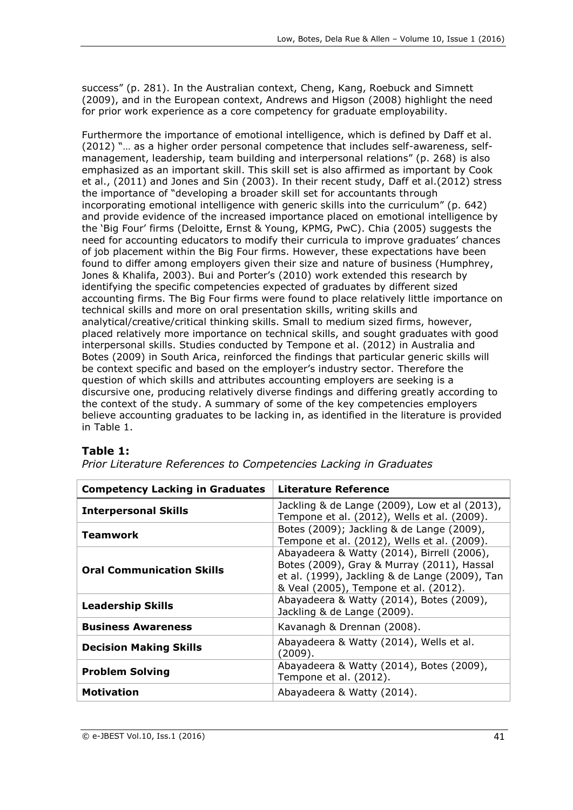success" (p. 281). In the Australian context, Cheng, Kang, Roebuck and Simnett (2009), and in the European context, Andrews and Higson (2008) highlight the need for prior work experience as a core competency for graduate employability.

Furthermore the importance of emotional intelligence, which is defined by Daff et al. (2012) "… as a higher order personal competence that includes self-awareness, selfmanagement, leadership, team building and interpersonal relations" (p. 268) is also emphasized as an important skill. This skill set is also affirmed as important by Cook et al., (2011) and Jones and Sin (2003). In their recent study, Daff et al.(2012) stress the importance of "developing a broader skill set for accountants through incorporating emotional intelligence with generic skills into the curriculum" (p. 642) and provide evidence of the increased importance placed on emotional intelligence by the 'Big Four' firms (Deloitte, Ernst & Young, KPMG, PwC). Chia (2005) suggests the need for accounting educators to modify their curricula to improve graduates' chances of job placement within the Big Four firms. However, these expectations have been found to differ among employers given their size and nature of business (Humphrey, Jones & Khalifa, 2003). Bui and Porter's (2010) work extended this research by identifying the specific competencies expected of graduates by different sized accounting firms. The Big Four firms were found to place relatively little importance on technical skills and more on oral presentation skills, writing skills and analytical/creative/critical thinking skills. Small to medium sized firms, however, placed relatively more importance on technical skills, and sought graduates with good interpersonal skills. Studies conducted by Tempone et al. (2012) in Australia and Botes (2009) in South Arica, reinforced the findings that particular generic skills will be context specific and based on the employer's industry sector. Therefore the question of which skills and attributes accounting employers are seeking is a discursive one, producing relatively diverse findings and differing greatly according to the context of the study. A summary of some of the key competencies employers believe accounting graduates to be lacking in, as identified in the literature is provided in Table 1.

## **Table 1:**

| <b>Competency Lacking in Graduates</b> | Literature Reference                                                                                                                                                                |
|----------------------------------------|-------------------------------------------------------------------------------------------------------------------------------------------------------------------------------------|
| <b>Interpersonal Skills</b>            | Jackling & de Lange (2009), Low et al (2013),<br>Tempone et al. (2012), Wells et al. (2009).                                                                                        |
| Teamwork                               | Botes (2009); Jackling & de Lange (2009),<br>Tempone et al. (2012), Wells et al. (2009).                                                                                            |
| <b>Oral Communication Skills</b>       | Abayadeera & Watty (2014), Birrell (2006),<br>Botes (2009), Gray & Murray (2011), Hassal<br>et al. (1999), Jackling & de Lange (2009), Tan<br>& Veal (2005), Tempone et al. (2012). |
| <b>Leadership Skills</b>               | Abayadeera & Watty (2014), Botes (2009),<br>Jackling & de Lange (2009).                                                                                                             |
| <b>Business Awareness</b>              | Kavanagh & Drennan (2008).                                                                                                                                                          |
| <b>Decision Making Skills</b>          | Abayadeera & Watty (2014), Wells et al.<br>(2009).                                                                                                                                  |
| <b>Problem Solving</b>                 | Abayadeera & Watty (2014), Botes (2009),<br>Tempone et al. (2012).                                                                                                                  |
| <b>Motivation</b>                      | Abayadeera & Watty (2014).                                                                                                                                                          |

*Prior Literature References to Competencies Lacking in Graduates*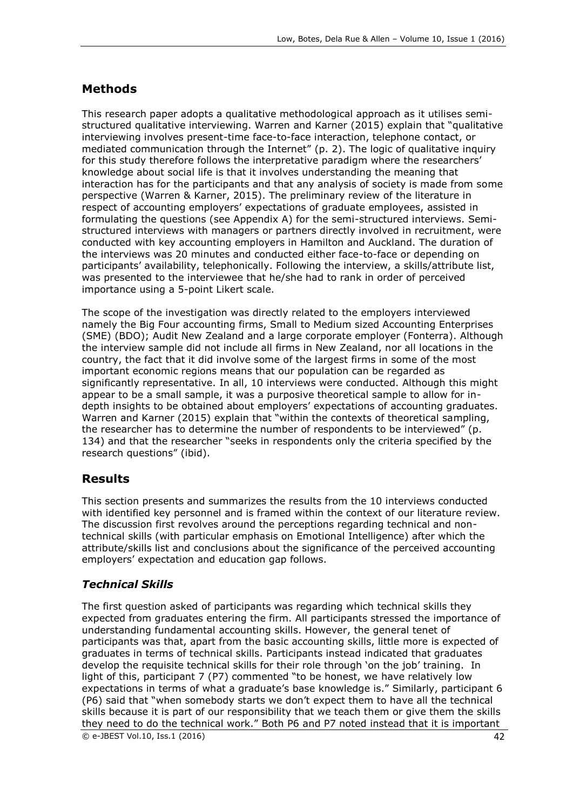# **Methods**

This research paper adopts a qualitative methodological approach as it utilises semistructured qualitative interviewing. Warren and Karner (2015) explain that "qualitative interviewing involves present-time face-to-face interaction, telephone contact, or mediated communication through the Internet" (p. 2). The logic of qualitative inquiry for this study therefore follows the interpretative paradigm where the researchers' knowledge about social life is that it involves understanding the meaning that interaction has for the participants and that any analysis of society is made from some perspective (Warren & Karner, 2015). The preliminary review of the literature in respect of accounting employers' expectations of graduate employees, assisted in formulating the questions (see Appendix A) for the semi-structured interviews. Semistructured interviews with managers or partners directly involved in recruitment, were conducted with key accounting employers in Hamilton and Auckland. The duration of the interviews was 20 minutes and conducted either face-to-face or depending on participants' availability, telephonically. Following the interview, a skills/attribute list, was presented to the interviewee that he/she had to rank in order of perceived importance using a 5-point Likert scale.

The scope of the investigation was directly related to the employers interviewed namely the Big Four accounting firms, Small to Medium sized Accounting Enterprises (SME) (BDO); Audit New Zealand and a large corporate employer (Fonterra). Although the interview sample did not include all firms in New Zealand, nor all locations in the country, the fact that it did involve some of the largest firms in some of the most important economic regions means that our population can be regarded as significantly representative. In all, 10 interviews were conducted. Although this might appear to be a small sample, it was a purposive theoretical sample to allow for indepth insights to be obtained about employers' expectations of accounting graduates. Warren and Karner (2015) explain that "within the contexts of theoretical sampling, the researcher has to determine the number of respondents to be interviewed" (p. 134) and that the researcher "seeks in respondents only the criteria specified by the research questions" (ibid).

## **Results**

This section presents and summarizes the results from the 10 interviews conducted with identified key personnel and is framed within the context of our literature review. The discussion first revolves around the perceptions regarding technical and nontechnical skills (with particular emphasis on Emotional Intelligence) after which the attribute/skills list and conclusions about the significance of the perceived accounting employers' expectation and education gap follows.

## *Technical Skills*

 $\circledcirc$  e-JBEST Vol.10, Iss.1 (2016) 42 The first question asked of participants was regarding which technical skills they expected from graduates entering the firm. All participants stressed the importance of understanding fundamental accounting skills. However, the general tenet of participants was that, apart from the basic accounting skills, little more is expected of graduates in terms of technical skills. Participants instead indicated that graduates develop the requisite technical skills for their role through 'on the job' training. In light of this, participant 7 (P7) commented "to be honest, we have relatively low expectations in terms of what a graduate's base knowledge is." Similarly, participant 6 (P6) said that "when somebody starts we don't expect them to have all the technical skills because it is part of our responsibility that we teach them or give them the skills they need to do the technical work." Both P6 and P7 noted instead that it is important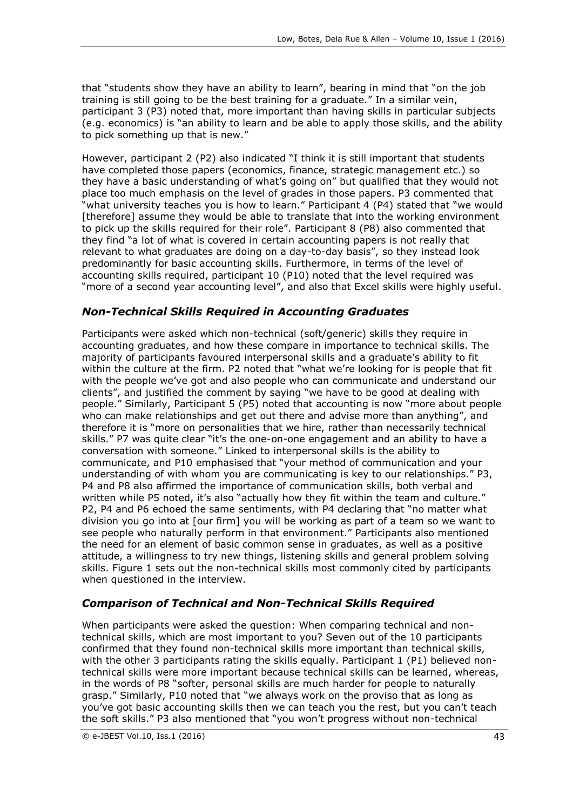that "students show they have an ability to learn", bearing in mind that "on the job training is still going to be the best training for a graduate." In a similar vein, participant 3 (P3) noted that, more important than having skills in particular subjects (e.g. economics) is "an ability to learn and be able to apply those skills, and the ability to pick something up that is new."

However, participant 2 (P2) also indicated "I think it is still important that students have completed those papers (economics, finance, strategic management etc.) so they have a basic understanding of what's going on" but qualified that they would not place too much emphasis on the level of grades in those papers. P3 commented that "what university teaches you is how to learn." Participant 4 (P4) stated that "we would [therefore] assume they would be able to translate that into the working environment to pick up the skills required for their role". Participant 8 (P8) also commented that they find "a lot of what is covered in certain accounting papers is not really that relevant to what graduates are doing on a day-to-day basis", so they instead look predominantly for basic accounting skills. Furthermore, in terms of the level of accounting skills required, participant 10 (P10) noted that the level required was "more of a second year accounting level", and also that Excel skills were highly useful.

### *Non-Technical Skills Required in Accounting Graduates*

Participants were asked which non-technical (soft/generic) skills they require in accounting graduates, and how these compare in importance to technical skills. The majority of participants favoured interpersonal skills and a graduate's ability to fit within the culture at the firm. P2 noted that "what we're looking for is people that fit with the people we've got and also people who can communicate and understand our clients", and justified the comment by saying "we have to be good at dealing with people." Similarly, Participant 5 (P5) noted that accounting is now "more about people who can make relationships and get out there and advise more than anything", and therefore it is "more on personalities that we hire, rather than necessarily technical skills." P7 was quite clear "it's the one-on-one engagement and an ability to have a conversation with someone." Linked to interpersonal skills is the ability to communicate, and P10 emphasised that "your method of communication and your understanding of with whom you are communicating is key to our relationships." P3, P4 and P8 also affirmed the importance of communication skills, both verbal and written while P5 noted, it's also "actually how they fit within the team and culture." P2, P4 and P6 echoed the same sentiments, with P4 declaring that "no matter what division you go into at [our firm] you will be working as part of a team so we want to see people who naturally perform in that environment." Participants also mentioned the need for an element of basic common sense in graduates, as well as a positive attitude, a willingness to try new things, listening skills and general problem solving skills. Figure 1 sets out the non-technical skills most commonly cited by participants when questioned in the interview.

### *Comparison of Technical and Non-Technical Skills Required*

When participants were asked the question: When comparing technical and nontechnical skills, which are most important to you? Seven out of the 10 participants confirmed that they found non-technical skills more important than technical skills, with the other 3 participants rating the skills equally. Participant 1 (P1) believed nontechnical skills were more important because technical skills can be learned, whereas, in the words of P8 "softer, personal skills are much harder for people to naturally grasp." Similarly, P10 noted that "we always work on the proviso that as long as you've got basic accounting skills then we can teach you the rest, but you can't teach the soft skills." P3 also mentioned that "you won't progress without non-technical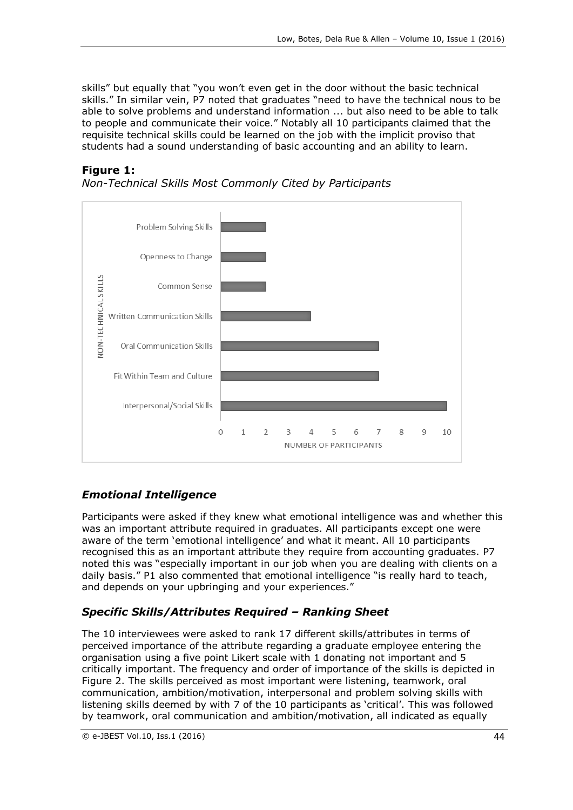skills" but equally that "you won't even get in the door without the basic technical skills." In similar vein, P7 noted that graduates "need to have the technical nous to be able to solve problems and understand information ... but also need to be able to talk to people and communicate their voice." Notably all 10 participants claimed that the requisite technical skills could be learned on the job with the implicit proviso that students had a sound understanding of basic accounting and an ability to learn.

### **Figure 1:**



*Non-Technical Skills Most Commonly Cited by Participants*

## *Emotional Intelligence*

Participants were asked if they knew what emotional intelligence was and whether this was an important attribute required in graduates. All participants except one were aware of the term 'emotional intelligence' and what it meant. All 10 participants recognised this as an important attribute they require from accounting graduates. P7 noted this was "especially important in our job when you are dealing with clients on a daily basis." P1 also commented that emotional intelligence "is really hard to teach, and depends on your upbringing and your experiences."

## *Specific Skills/Attributes Required – Ranking Sheet*

The 10 interviewees were asked to rank 17 different skills/attributes in terms of perceived importance of the attribute regarding a graduate employee entering the organisation using a five point Likert scale with 1 donating not important and 5 critically important. The frequency and order of importance of the skills is depicted in Figure 2. The skills perceived as most important were listening, teamwork, oral communication, ambition/motivation, interpersonal and problem solving skills with listening skills deemed by with 7 of the 10 participants as 'critical'. This was followed by teamwork, oral communication and ambition/motivation, all indicated as equally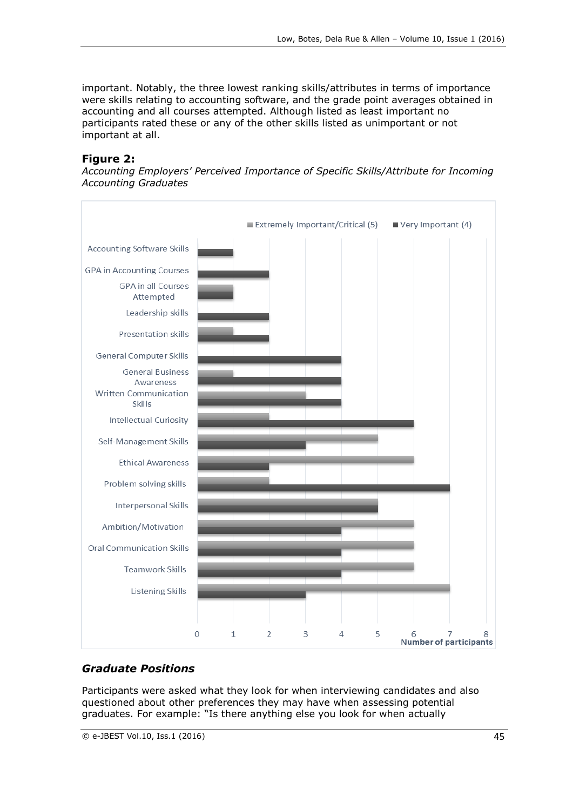important. Notably, the three lowest ranking skills/attributes in terms of importance were skills relating to accounting software, and the grade point averages obtained in accounting and all courses attempted. Although listed as least important no participants rated these or any of the other skills listed as unimportant or not important at all.

### **Figure 2:**

*Accounting Employers' Perceived Importance of Specific Skills/Attribute for Incoming Accounting Graduates*



## *Graduate Positions*

Participants were asked what they look for when interviewing candidates and also questioned about other preferences they may have when assessing potential graduates. For example: "Is there anything else you look for when actually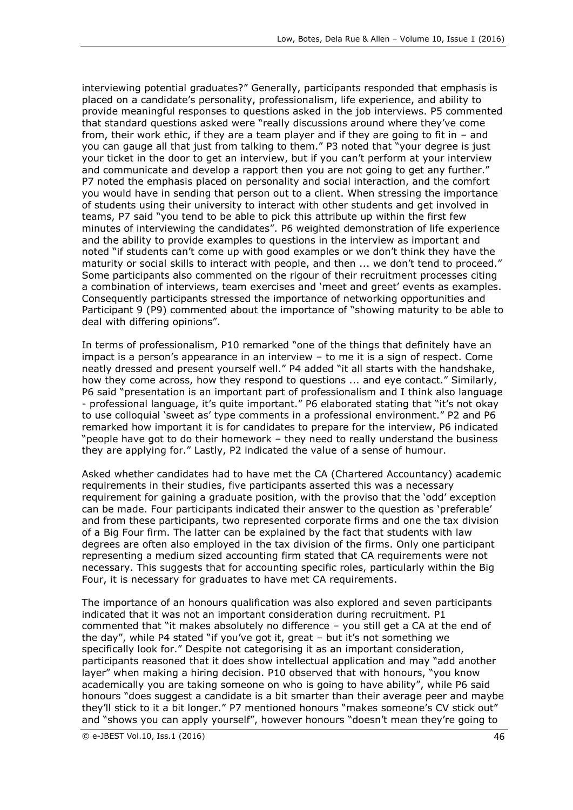interviewing potential graduates?" Generally, participants responded that emphasis is placed on a candidate's personality, professionalism, life experience, and ability to provide meaningful responses to questions asked in the job interviews. P5 commented that standard questions asked were "really discussions around where they've come from, their work ethic, if they are a team player and if they are going to fit in – and you can gauge all that just from talking to them." P3 noted that "your degree is just your ticket in the door to get an interview, but if you can't perform at your interview and communicate and develop a rapport then you are not going to get any further." P7 noted the emphasis placed on personality and social interaction, and the comfort you would have in sending that person out to a client. When stressing the importance of students using their university to interact with other students and get involved in teams, P7 said "you tend to be able to pick this attribute up within the first few minutes of interviewing the candidates". P6 weighted demonstration of life experience and the ability to provide examples to questions in the interview as important and noted "if students can't come up with good examples or we don't think they have the maturity or social skills to interact with people, and then ... we don't tend to proceed." Some participants also commented on the rigour of their recruitment processes citing a combination of interviews, team exercises and 'meet and greet' events as examples. Consequently participants stressed the importance of networking opportunities and Participant 9 (P9) commented about the importance of "showing maturity to be able to deal with differing opinions".

In terms of professionalism, P10 remarked "one of the things that definitely have an impact is a person's appearance in an interview – to me it is a sign of respect. Come neatly dressed and present yourself well." P4 added "it all starts with the handshake, how they come across, how they respond to questions ... and eye contact." Similarly, P6 said "presentation is an important part of professionalism and I think also language - professional language, it's quite important." P6 elaborated stating that "it's not okay to use colloquial 'sweet as' type comments in a professional environment." P2 and P6 remarked how important it is for candidates to prepare for the interview, P6 indicated "people have got to do their homework – they need to really understand the business they are applying for." Lastly, P2 indicated the value of a sense of humour.

Asked whether candidates had to have met the CA (Chartered Accountancy) academic requirements in their studies, five participants asserted this was a necessary requirement for gaining a graduate position, with the proviso that the 'odd' exception can be made. Four participants indicated their answer to the question as 'preferable' and from these participants, two represented corporate firms and one the tax division of a Big Four firm. The latter can be explained by the fact that students with law degrees are often also employed in the tax division of the firms. Only one participant representing a medium sized accounting firm stated that CA requirements were not necessary. This suggests that for accounting specific roles, particularly within the Big Four, it is necessary for graduates to have met CA requirements.

The importance of an honours qualification was also explored and seven participants indicated that it was not an important consideration during recruitment. P1 commented that "it makes absolutely no difference – you still get a CA at the end of the day", while P4 stated "if you've got it, great – but it's not something we specifically look for." Despite not categorising it as an important consideration, participants reasoned that it does show intellectual application and may "add another layer" when making a hiring decision. P10 observed that with honours, "you know academically you are taking someone on who is going to have ability", while P6 said honours "does suggest a candidate is a bit smarter than their average peer and maybe they'll stick to it a bit longer." P7 mentioned honours "makes someone's CV stick out" and "shows you can apply yourself", however honours "doesn't mean they're going to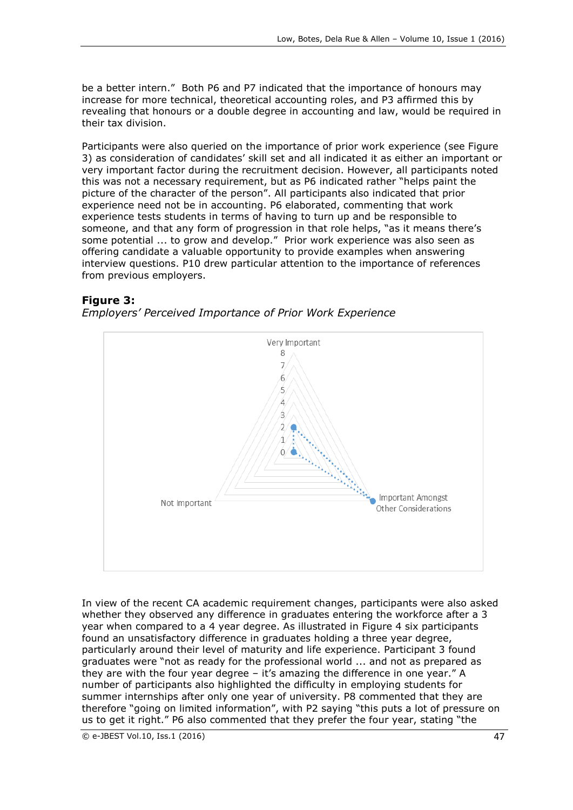be a better intern." Both P6 and P7 indicated that the importance of honours may increase for more technical, theoretical accounting roles, and P3 affirmed this by revealing that honours or a double degree in accounting and law, would be required in their tax division.

Participants were also queried on the importance of prior work experience (see Figure 3) as consideration of candidates' skill set and all indicated it as either an important or very important factor during the recruitment decision. However, all participants noted this was not a necessary requirement, but as P6 indicated rather "helps paint the picture of the character of the person". All participants also indicated that prior experience need not be in accounting. P6 elaborated, commenting that work experience tests students in terms of having to turn up and be responsible to someone, and that any form of progression in that role helps, "as it means there's some potential ... to grow and develop." Prior work experience was also seen as offering candidate a valuable opportunity to provide examples when answering interview questions. P10 drew particular attention to the importance of references from previous employers.

#### **Figure 3:**

*Employers' Perceived Importance of Prior Work Experience*



In view of the recent CA academic requirement changes, participants were also asked whether they observed any difference in graduates entering the workforce after a 3 year when compared to a 4 year degree. As illustrated in Figure 4 six participants found an unsatisfactory difference in graduates holding a three year degree, particularly around their level of maturity and life experience. Participant 3 found graduates were "not as ready for the professional world ... and not as prepared as they are with the four year degree – it's amazing the difference in one year." A number of participants also highlighted the difficulty in employing students for summer internships after only one year of university. P8 commented that they are therefore "going on limited information", with P2 saying "this puts a lot of pressure on us to get it right." P6 also commented that they prefer the four year, stating "the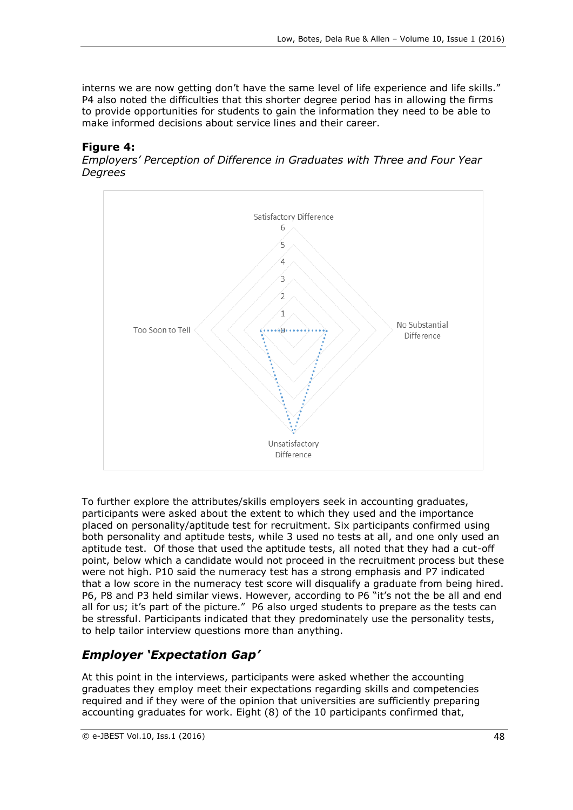interns we are now getting don't have the same level of life experience and life skills." P4 also noted the difficulties that this shorter degree period has in allowing the firms to provide opportunities for students to gain the information they need to be able to make informed decisions about service lines and their career.

#### **Figure 4:**

*Employers' Perception of Difference in Graduates with Three and Four Year Degrees*



To further explore the attributes/skills employers seek in accounting graduates, participants were asked about the extent to which they used and the importance placed on personality/aptitude test for recruitment. Six participants confirmed using both personality and aptitude tests, while 3 used no tests at all, and one only used an aptitude test. Of those that used the aptitude tests, all noted that they had a cut-off point, below which a candidate would not proceed in the recruitment process but these were not high. P10 said the numeracy test has a strong emphasis and P7 indicated that a low score in the numeracy test score will disqualify a graduate from being hired. P6, P8 and P3 held similar views. However, according to P6 "it's not the be all and end all for us; it's part of the picture." P6 also urged students to prepare as the tests can be stressful. Participants indicated that they predominately use the personality tests, to help tailor interview questions more than anything.

# *Employer 'Expectation Gap'*

At this point in the interviews, participants were asked whether the accounting graduates they employ meet their expectations regarding skills and competencies required and if they were of the opinion that universities are sufficiently preparing accounting graduates for work. Eight (8) of the 10 participants confirmed that,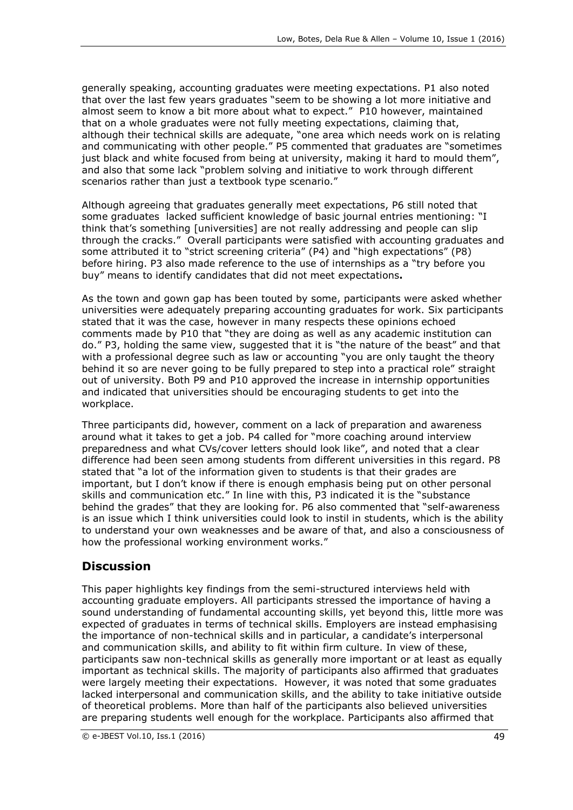generally speaking, accounting graduates were meeting expectations. P1 also noted that over the last few years graduates "seem to be showing a lot more initiative and almost seem to know a bit more about what to expect." P10 however, maintained that on a whole graduates were not fully meeting expectations, claiming that, although their technical skills are adequate, "one area which needs work on is relating and communicating with other people." P5 commented that graduates are "sometimes just black and white focused from being at university, making it hard to mould them", and also that some lack "problem solving and initiative to work through different scenarios rather than just a textbook type scenario."

Although agreeing that graduates generally meet expectations, P6 still noted that some graduates lacked sufficient knowledge of basic journal entries mentioning: "I think that's something [universities] are not really addressing and people can slip through the cracks." Overall participants were satisfied with accounting graduates and some attributed it to "strict screening criteria" (P4) and "high expectations" (P8) before hiring. P3 also made reference to the use of internships as a "try before you buy" means to identify candidates that did not meet expectations**.** 

As the town and gown gap has been touted by some, participants were asked whether universities were adequately preparing accounting graduates for work. Six participants stated that it was the case, however in many respects these opinions echoed comments made by P10 that "they are doing as well as any academic institution can do." P3, holding the same view, suggested that it is "the nature of the beast" and that with a professional degree such as law or accounting "you are only taught the theory behind it so are never going to be fully prepared to step into a practical role" straight out of university. Both P9 and P10 approved the increase in internship opportunities and indicated that universities should be encouraging students to get into the workplace.

Three participants did, however, comment on a lack of preparation and awareness around what it takes to get a job. P4 called for "more coaching around interview preparedness and what CVs/cover letters should look like", and noted that a clear difference had been seen among students from different universities in this regard. P8 stated that "a lot of the information given to students is that their grades are important, but I don't know if there is enough emphasis being put on other personal skills and communication etc." In line with this, P3 indicated it is the "substance behind the grades" that they are looking for. P6 also commented that "self-awareness is an issue which I think universities could look to instil in students, which is the ability to understand your own weaknesses and be aware of that, and also a consciousness of how the professional working environment works."

## **Discussion**

This paper highlights key findings from the semi-structured interviews held with accounting graduate employers. All participants stressed the importance of having a sound understanding of fundamental accounting skills, yet beyond this, little more was expected of graduates in terms of technical skills. Employers are instead emphasising the importance of non-technical skills and in particular, a candidate's interpersonal and communication skills, and ability to fit within firm culture. In view of these, participants saw non-technical skills as generally more important or at least as equally important as technical skills. The majority of participants also affirmed that graduates were largely meeting their expectations. However, it was noted that some graduates lacked interpersonal and communication skills, and the ability to take initiative outside of theoretical problems. More than half of the participants also believed universities are preparing students well enough for the workplace. Participants also affirmed that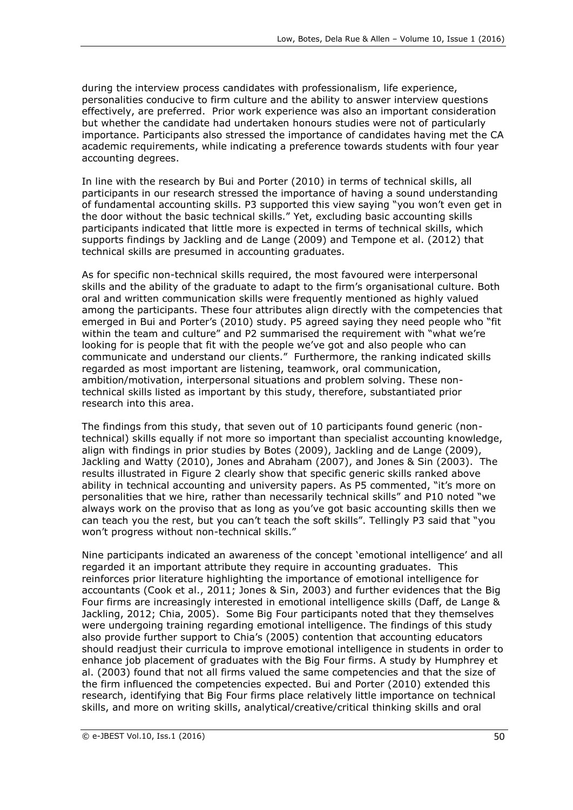during the interview process candidates with professionalism, life experience, personalities conducive to firm culture and the ability to answer interview questions effectively, are preferred. Prior work experience was also an important consideration but whether the candidate had undertaken honours studies were not of particularly importance. Participants also stressed the importance of candidates having met the CA academic requirements, while indicating a preference towards students with four year accounting degrees.

In line with the research by Bui and Porter (2010) in terms of technical skills, all participants in our research stressed the importance of having a sound understanding of fundamental accounting skills. P3 supported this view saying "you won't even get in the door without the basic technical skills." Yet, excluding basic accounting skills participants indicated that little more is expected in terms of technical skills, which supports findings by Jackling and de Lange (2009) and Tempone et al. (2012) that technical skills are presumed in accounting graduates.

As for specific non-technical skills required, the most favoured were interpersonal skills and the ability of the graduate to adapt to the firm's organisational culture. Both oral and written communication skills were frequently mentioned as highly valued among the participants. These four attributes align directly with the competencies that emerged in Bui and Porter's (2010) study. P5 agreed saying they need people who "fit within the team and culture" and P2 summarised the requirement with "what we're looking for is people that fit with the people we've got and also people who can communicate and understand our clients." Furthermore, the ranking indicated skills regarded as most important are listening, teamwork, oral communication, ambition/motivation, interpersonal situations and problem solving. These nontechnical skills listed as important by this study, therefore, substantiated prior research into this area.

The findings from this study, that seven out of 10 participants found generic (nontechnical) skills equally if not more so important than specialist accounting knowledge, align with findings in prior studies by Botes (2009), Jackling and de Lange (2009), Jackling and Watty (2010), Jones and Abraham (2007), and Jones & Sin (2003). The results illustrated in Figure 2 clearly show that specific generic skills ranked above ability in technical accounting and university papers. As P5 commented, "it's more on personalities that we hire, rather than necessarily technical skills" and P10 noted "we always work on the proviso that as long as you've got basic accounting skills then we can teach you the rest, but you can't teach the soft skills". Tellingly P3 said that "you won't progress without non-technical skills."

Nine participants indicated an awareness of the concept 'emotional intelligence' and all regarded it an important attribute they require in accounting graduates. This reinforces prior literature highlighting the importance of emotional intelligence for accountants (Cook et al., 2011; Jones & Sin, 2003) and further evidences that the Big Four firms are increasingly interested in emotional intelligence skills (Daff, de Lange & Jackling, 2012; Chia, 2005). Some Big Four participants noted that they themselves were undergoing training regarding emotional intelligence. The findings of this study also provide further support to Chia's (2005) contention that accounting educators should readjust their curricula to improve emotional intelligence in students in order to enhance job placement of graduates with the Big Four firms. A study by Humphrey et al. (2003) found that not all firms valued the same competencies and that the size of the firm influenced the competencies expected. Bui and Porter (2010) extended this research, identifying that Big Four firms place relatively little importance on technical skills, and more on writing skills, analytical/creative/critical thinking skills and oral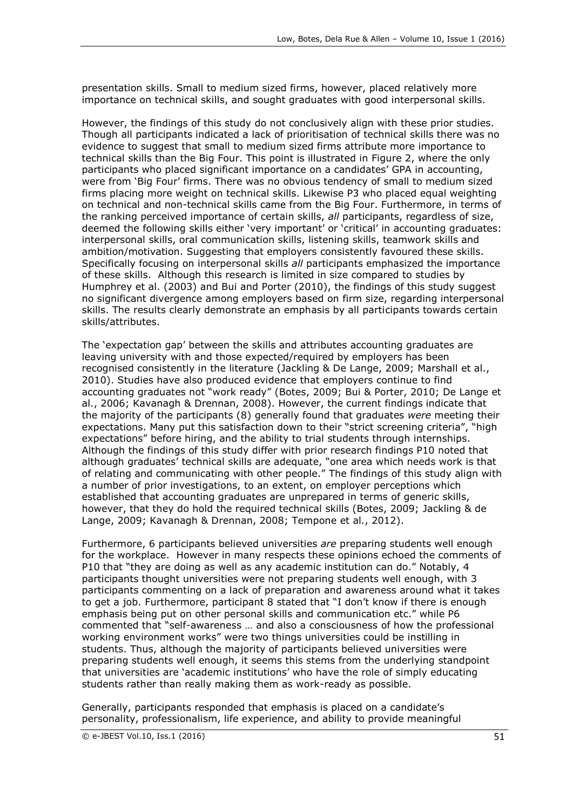presentation skills. Small to medium sized firms, however, placed relatively more importance on technical skills, and sought graduates with good interpersonal skills.

However, the findings of this study do not conclusively align with these prior studies. Though all participants indicated a lack of prioritisation of technical skills there was no evidence to suggest that small to medium sized firms attribute more importance to technical skills than the Big Four. This point is illustrated in Figure 2, where the only participants who placed significant importance on a candidates' GPA in accounting, were from 'Big Four' firms. There was no obvious tendency of small to medium sized firms placing more weight on technical skills. Likewise P3 who placed equal weighting on technical and non-technical skills came from the Big Four. Furthermore, in terms of the ranking perceived importance of certain skills, *all* participants, regardless of size, deemed the following skills either 'very important' or 'critical' in accounting graduates: interpersonal skills, oral communication skills, listening skills, teamwork skills and ambition/motivation. Suggesting that employers consistently favoured these skills. Specifically focusing on interpersonal skills *all* participants emphasized the importance of these skills. Although this research is limited in size compared to studies by Humphrey et al. (2003) and Bui and Porter (2010), the findings of this study suggest no significant divergence among employers based on firm size, regarding interpersonal skills. The results clearly demonstrate an emphasis by all participants towards certain skills/attributes.

The 'expectation gap' between the skills and attributes accounting graduates are leaving university with and those expected/required by employers has been recognised consistently in the literature (Jackling & De Lange, 2009; Marshall et al., 2010). Studies have also produced evidence that employers continue to find accounting graduates not "work ready" (Botes, 2009; Bui & Porter, 2010; De Lange et al., 2006; Kavanagh & Drennan, 2008). However, the current findings indicate that the majority of the participants (8) generally found that graduates *were* meeting their expectations. Many put this satisfaction down to their "strict screening criteria", "high expectations" before hiring, and the ability to trial students through internships. Although the findings of this study differ with prior research findings P10 noted that although graduates' technical skills are adequate, "one area which needs work is that of relating and communicating with other people." The findings of this study align with a number of prior investigations, to an extent, on employer perceptions which established that accounting graduates are unprepared in terms of generic skills, however, that they do hold the required technical skills (Botes, 2009; [Jackling & de](http://www.emeraldinsight.com.ezproxy.waikato.ac.nz/journals.htm?articleid=17109750#idb15)  [Lange, 2009;](http://www.emeraldinsight.com.ezproxy.waikato.ac.nz/journals.htm?articleid=17109750#idb15) [Kavanagh & Drennan, 2008;](http://www.emeraldinsight.com.ezproxy.waikato.ac.nz/journals.htm?articleid=17109750#idb16) [Tempone et al](http://www.emeraldinsight.com.ezproxy.waikato.ac.nz/journals.htm?articleid=17109750#idb22)*.*, 2012).

Furthermore, 6 participants believed universities *are* preparing students well enough for the workplace. However in many respects these opinions echoed the comments of P10 that "they are doing as well as any academic institution can do." Notably, 4 participants thought universities were not preparing students well enough, with 3 participants commenting on a lack of preparation and awareness around what it takes to get a job. Furthermore, participant 8 stated that "I don't know if there is enough emphasis being put on other personal skills and communication etc." while P6 commented that "self-awareness … and also a consciousness of how the professional working environment works" were two things universities could be instilling in students. Thus, although the majority of participants believed universities were preparing students well enough, it seems this stems from the underlying standpoint that universities are 'academic institutions' who have the role of simply educating students rather than really making them as work-ready as possible.

Generally, participants responded that emphasis is placed on a candidate's personality, professionalism, life experience, and ability to provide meaningful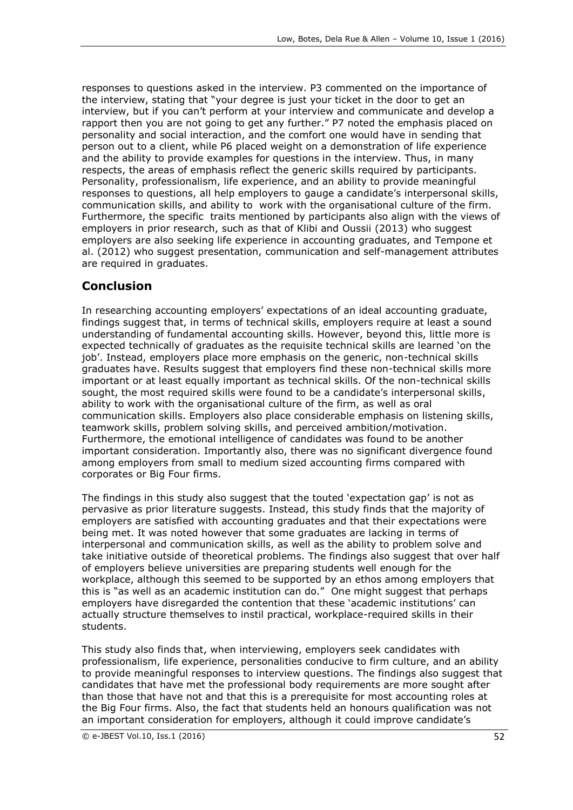responses to questions asked in the interview. P3 commented on the importance of the interview, stating that "your degree is just your ticket in the door to get an interview, but if you can't perform at your interview and communicate and develop a rapport then you are not going to get any further." P7 noted the emphasis placed on personality and social interaction, and the comfort one would have in sending that person out to a client, while P6 placed weight on a demonstration of life experience and the ability to provide examples for questions in the interview. Thus, in many respects, the areas of emphasis reflect the generic skills required by participants. Personality, professionalism, life experience, and an ability to provide meaningful responses to questions, all help employers to gauge a candidate's interpersonal skills, communication skills, and ability to work with the organisational culture of the firm. Furthermore, the specific traits mentioned by participants also align with the views of employers in prior research, such as that of Klibi and Oussii (2013) who suggest employers are also seeking life experience in accounting graduates, and Tempone et al. (2012) who suggest presentation, communication and self-management attributes are required in graduates.

# **Conclusion**

In researching accounting employers' expectations of an ideal accounting graduate, findings suggest that, in terms of technical skills, employers require at least a sound understanding of fundamental accounting skills. However, beyond this, little more is expected technically of graduates as the requisite technical skills are learned 'on the job'. Instead, employers place more emphasis on the generic, non-technical skills graduates have. Results suggest that employers find these non-technical skills more important or at least equally important as technical skills. Of the non-technical skills sought, the most required skills were found to be a candidate's interpersonal skills, ability to work with the organisational culture of the firm, as well as oral communication skills. Employers also place considerable emphasis on listening skills, teamwork skills, problem solving skills, and perceived ambition/motivation. Furthermore, the emotional intelligence of candidates was found to be another important consideration. Importantly also, there was no significant divergence found among employers from small to medium sized accounting firms compared with corporates or Big Four firms.

The findings in this study also suggest that the touted 'expectation gap' is not as pervasive as prior literature suggests. Instead, this study finds that the majority of employers are satisfied with accounting graduates and that their expectations were being met. It was noted however that some graduates are lacking in terms of interpersonal and communication skills, as well as the ability to problem solve and take initiative outside of theoretical problems. The findings also suggest that over half of employers believe universities are preparing students well enough for the workplace, although this seemed to be supported by an ethos among employers that this is "as well as an academic institution can do." One might suggest that perhaps employers have disregarded the contention that these 'academic institutions' can actually structure themselves to instil practical, workplace-required skills in their students.

This study also finds that, when interviewing, employers seek candidates with professionalism, life experience, personalities conducive to firm culture, and an ability to provide meaningful responses to interview questions. The findings also suggest that candidates that have met the professional body requirements are more sought after than those that have not and that this is a prerequisite for most accounting roles at the Big Four firms. Also, the fact that students held an honours qualification was not an important consideration for employers, although it could improve candidate's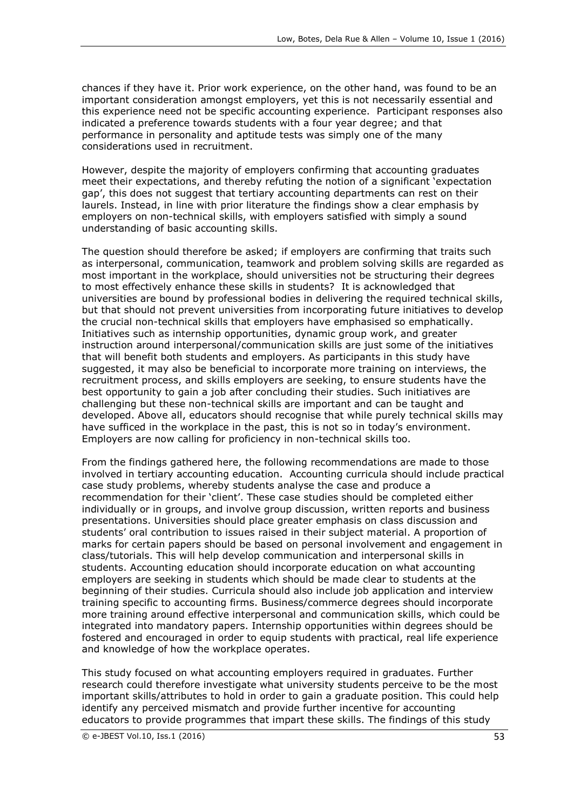chances if they have it. Prior work experience, on the other hand, was found to be an important consideration amongst employers, yet this is not necessarily essential and this experience need not be specific accounting experience. Participant responses also indicated a preference towards students with a four year degree; and that performance in personality and aptitude tests was simply one of the many considerations used in recruitment.

However, despite the majority of employers confirming that accounting graduates meet their expectations, and thereby refuting the notion of a significant 'expectation gap', this does not suggest that tertiary accounting departments can rest on their laurels. Instead, in line with prior literature the findings show a clear emphasis by employers on non-technical skills, with employers satisfied with simply a sound understanding of basic accounting skills.

The question should therefore be asked; if employers are confirming that traits such as interpersonal, communication, teamwork and problem solving skills are regarded as most important in the workplace, should universities not be structuring their degrees to most effectively enhance these skills in students? It is acknowledged that universities are bound by professional bodies in delivering the required technical skills, but that should not prevent universities from incorporating future initiatives to develop the crucial non-technical skills that employers have emphasised so emphatically. Initiatives such as internship opportunities, dynamic group work, and greater instruction around interpersonal/communication skills are just some of the initiatives that will benefit both students and employers. As participants in this study have suggested, it may also be beneficial to incorporate more training on interviews, the recruitment process, and skills employers are seeking, to ensure students have the best opportunity to gain a job after concluding their studies. Such initiatives are challenging but these non-technical skills are important and can be taught and developed. Above all, educators should recognise that while purely technical skills may have sufficed in the workplace in the past, this is not so in today's environment. Employers are now calling for proficiency in non-technical skills too.

From the findings gathered here, the following recommendations are made to those involved in tertiary accounting education. Accounting curricula should include practical case study problems, whereby students analyse the case and produce a recommendation for their 'client'. These case studies should be completed either individually or in groups, and involve group discussion, written reports and business presentations. Universities should place greater emphasis on class discussion and students' oral contribution to issues raised in their subject material. A proportion of marks for certain papers should be based on personal involvement and engagement in class/tutorials. This will help develop communication and interpersonal skills in students. Accounting education should incorporate education on what accounting employers are seeking in students which should be made clear to students at the beginning of their studies. Curricula should also include job application and interview training specific to accounting firms. Business/commerce degrees should incorporate more training around effective interpersonal and communication skills, which could be integrated into mandatory papers. Internship opportunities within degrees should be fostered and encouraged in order to equip students with practical, real life experience and knowledge of how the workplace operates.

This study focused on what accounting employers required in graduates. Further research could therefore investigate what university students perceive to be the most important skills/attributes to hold in order to gain a graduate position. This could help identify any perceived mismatch and provide further incentive for accounting educators to provide programmes that impart these skills. The findings of this study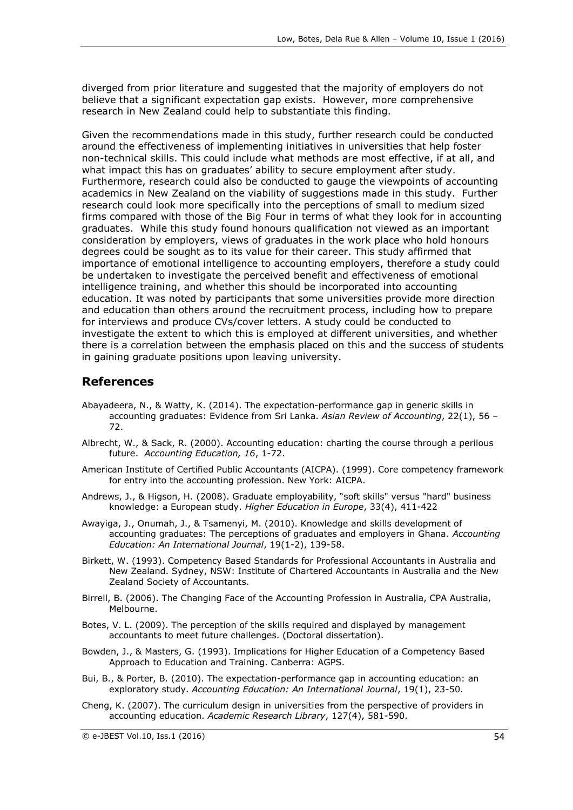diverged from prior literature and suggested that the majority of employers do not believe that a significant expectation gap exists. However, more comprehensive research in New Zealand could help to substantiate this finding.

Given the recommendations made in this study, further research could be conducted around the effectiveness of implementing initiatives in universities that help foster non-technical skills. This could include what methods are most effective, if at all, and what impact this has on graduates' ability to secure employment after study. Furthermore, research could also be conducted to gauge the viewpoints of accounting academics in New Zealand on the viability of suggestions made in this study. Further research could look more specifically into the perceptions of small to medium sized firms compared with those of the Big Four in terms of what they look for in accounting graduates. While this study found honours qualification not viewed as an important consideration by employers, views of graduates in the work place who hold honours degrees could be sought as to its value for their career. This study affirmed that importance of emotional intelligence to accounting employers, therefore a study could be undertaken to investigate the perceived benefit and effectiveness of emotional intelligence training, and whether this should be incorporated into accounting education. It was noted by participants that some universities provide more direction and education than others around the recruitment process, including how to prepare for interviews and produce CVs/cover letters. A study could be conducted to investigate the extent to which this is employed at different universities, and whether there is a correlation between the emphasis placed on this and the success of students in gaining graduate positions upon leaving university.

### **References**

- Abayadeera, N., & Watty, K. (2014). The expectation-performance gap in generic skills in accounting graduates: Evidence from Sri Lanka. *Asian Review of Accounting*, 22(1), 56 – 72.
- Albrecht, W., & Sack, R. (2000). Accounting education: charting the course through a perilous future. *Accounting Education, 16*, 1-72.
- American Institute of Certified Public Accountants (AICPA). (1999). Core competency framework for entry into the accounting profession. New York: AICPA.
- Andrews, J., & Higson, H. (2008). Graduate employability, "soft skills" versus "hard" business knowledge: a European study. *Higher Education in Europe*, 33(4), 411-422
- Awayiga, J., Onumah, J., & Tsamenyi, M. (2010). Knowledge and skills development of accounting graduates: The perceptions of graduates and employers in Ghana. *Accounting Education: An International Journal*, 19(1-2), 139-58.
- Birkett, W. (1993). Competency Based Standards for Professional Accountants in Australia and New Zealand. Sydney, NSW: Institute of Chartered Accountants in Australia and the New Zealand Society of Accountants.
- Birrell, B. (2006). The Changing Face of the Accounting Profession in Australia, CPA Australia, Melbourne.
- Botes, V. L. (2009). The perception of the skills required and displayed by management accountants to meet future challenges. (Doctoral dissertation).
- Bowden, J., & Masters, G. (1993). Implications for Higher Education of a Competency Based Approach to Education and Training. Canberra: AGPS.
- Bui, B., & Porter, B. (2010). The expectation-performance gap in accounting education: an exploratory study. *Accounting Education: An International Journal*, 19(1), 23-50.
- Cheng, K. (2007). The curriculum design in universities from the perspective of providers in accounting education. *Academic Research Library*, 127(4), 581-590.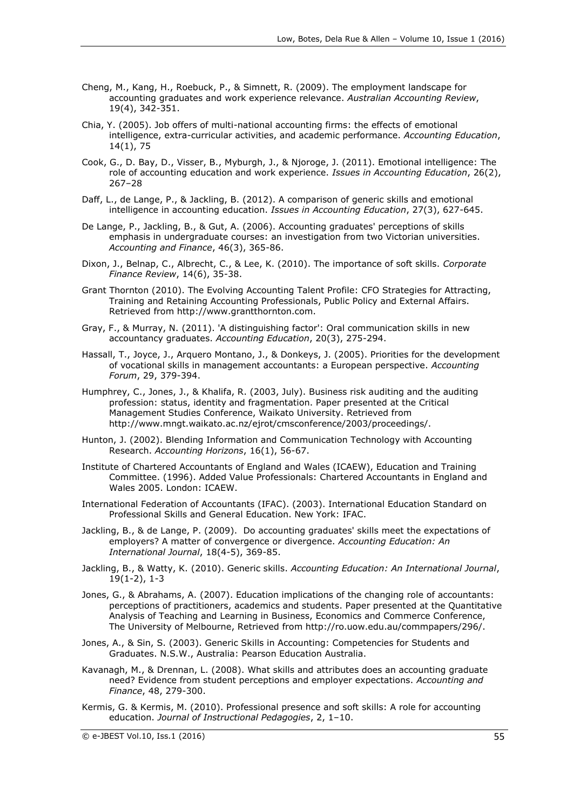- Cheng, M., Kang, H., Roebuck, P., & Simnett, R. (2009). The employment landscape for accounting graduates and work experience relevance. *Australian Accounting Review*, 19(4), 342-351.
- Chia, Y. (2005). Job offers of multi-national accounting firms: the effects of emotional intelligence, extra-curricular activities, and academic performance. *Accounting Education*, 14(1), 75
- Cook, G., D. Bay, D., Visser, B., Myburgh, J., & Njoroge, J. (2011). Emotional intelligence: The role of accounting education and work experience. *Issues in Accounting Education*, 26(2), 267–28
- Daff, L., de Lange, P., & Jackling, B. (2012). A comparison of generic skills and emotional intelligence in accounting education. *Issues in Accounting Education*, 27(3), 627-645.
- De Lange, P., Jackling, B., & Gut, A. (2006). Accounting graduates' perceptions of skills emphasis in undergraduate courses: an investigation from two Victorian universities. *Accounting and Finance*, 46(3), 365-86.
- Dixon, J., Belnap, C., Albrecht, C., & Lee, K. (2010). The importance of soft skills. *Corporate Finance Review*, 14(6), 35-38.
- Grant Thornton (2010). The Evolving Accounting Talent Profile: CFO Strategies for Attracting, Training and Retaining Accounting Professionals, Public Policy and External Affairs. Retrieved from http://www.grantthornton.com.
- Gray, F., & Murray, N. (2011). 'A distinguishing factor': Oral communication skills in new accountancy graduates. *Accounting Education*, 20(3), 275-294.
- Hassall, T., Joyce, J., Arquero Montano, J., & Donkeys, J. (2005). Priorities for the development of vocational skills in management accountants: a European perspective. *Accounting Forum*, 29, 379-394.
- Humphrey, C., Jones, J., & Khalifa, R. (2003, July). Business risk auditing and the auditing profession: status, identity and fragmentation. Paper presented at the Critical Management Studies Conference, Waikato University. Retrieved from http://www.mngt.waikato.ac.nz/ejrot/cmsconference/2003/proceedings/.
- Hunton, J. (2002). Blending Information and Communication Technology with Accounting Research. *Accounting Horizons*, 16(1), 56-67.
- Institute of Chartered Accountants of England and Wales (ICAEW), Education and Training Committee. (1996). Added Value Professionals: Chartered Accountants in England and Wales 2005. London: ICAEW.
- International Federation of Accountants (IFAC). (2003). International Education Standard on Professional Skills and General Education. New York: IFAC.
- Jackling, B., & de Lange, P. (2009). Do accounting graduates' skills meet the expectations of employers? A matter of convergence or divergence. *Accounting Education: An International Journal*, 18(4-5), 369-85.
- Jackling, B., & Watty, K. (2010). Generic skills. *Accounting Education: An International Journal*, 19(1-2), 1-3
- Jones, G., & Abrahams, A. (2007). Education implications of the changing role of accountants: perceptions of practitioners, academics and students. Paper presented at the Quantitative Analysis of Teaching and Learning in Business, Economics and Commerce Conference, The University of Melbourne, Retrieved from http://ro.uow.edu.au/commpapers/296/.
- Jones, A., & Sin, S. (2003). Generic Skills in Accounting: Competencies for Students and Graduates. N.S.W., Australia: Pearson Education Australia.
- Kavanagh, M., & Drennan, L. (2008). What skills and attributes does an accounting graduate need? Evidence from student perceptions and employer expectations. *Accounting and Finance*, 48, 279-300.
- Kermis, G. & Kermis, M. (2010). Professional presence and soft skills: A role for accounting education. *Journal of Instructional Pedagogies*, 2, 1–10.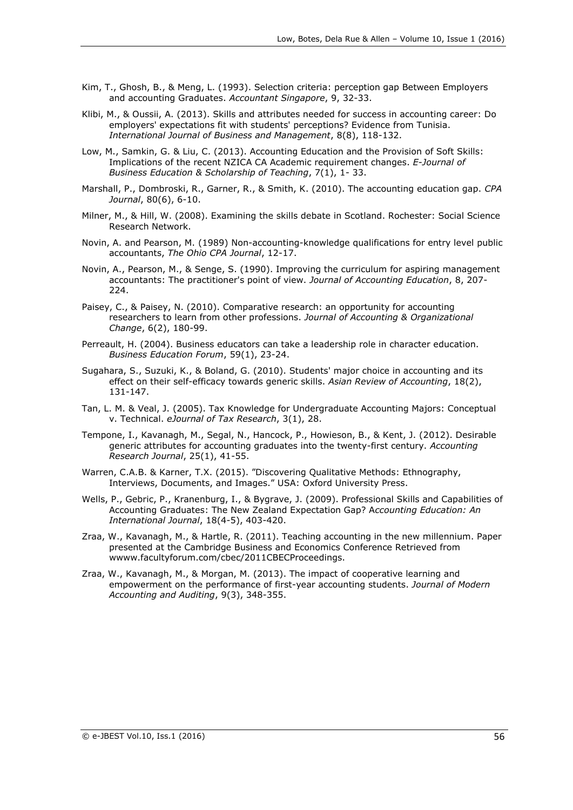- Kim, T., Ghosh, B., & Meng, L. (1993). Selection criteria: perception gap Between Employers and accounting Graduates. *Accountant Singapore*, 9, 32-33.
- Klibi, M., & Oussii, A. (2013). Skills and attributes needed for success in accounting career: Do employers' expectations fit with students' perceptions? Evidence from Tunisia. *International Journal of Business and Management*, 8(8), 118-132.
- Low, M., Samkin, G. & Liu, C. (2013). Accounting Education and the Provision of Soft Skills: Implications of the recent NZICA CA Academic requirement changes. *E-Journal of Business Education & Scholarship of Teaching*, 7(1), 1- 33.
- Marshall, P., Dombroski, R., Garner, R., & Smith, K. (2010). The accounting education gap. *CPA Journal*, 80(6), 6-10.
- Milner, M., & Hill, W. (2008). Examining the skills debate in Scotland. Rochester: Social Science Research Network.
- Novin, A. and Pearson, M. (1989) Non-accounting-knowledge qualifications for entry level public accountants, *The Ohio CPA Journal*, 12-17.
- Novin, A., Pearson, M., & Senge, S. (1990). Improving the curriculum for aspiring management accountants: The practitioner's point of view. *Journal of Accounting Education*, 8, 207- 224.
- Paisey, C., & Paisey, N. (2010). Comparative research: an opportunity for accounting researchers to learn from other professions. *Journal of Accounting & Organizational Change*, 6(2), 180-99.
- Perreault, H. (2004). Business educators can take a leadership role in character education. *Business Education Forum*, 59(1), 23-24.
- Sugahara, S., Suzuki, K., & Boland, G. (2010). Students' major choice in accounting and its effect on their self-efficacy towards generic skills. *Asian Review of Accounting*, 18(2), 131-147.
- Tan, L. M. & Veal, J. (2005). Tax Knowledge for Undergraduate Accounting Majors: Conceptual v. Technical. *eJournal of Tax Research*, 3(1), 28.
- Tempone, I., Kavanagh, M., Segal, N., Hancock, P., Howieson, B., & Kent, J. (2012). Desirable generic attributes for accounting graduates into the twenty-first century. *Accounting Research Journal*, 25(1), 41-55.
- Warren, C.A.B. & Karner, T.X. (2015). "Discovering Qualitative Methods: Ethnography, Interviews, Documents, and Images." USA: Oxford University Press.
- Wells, P., Gebric, P., Kranenburg, I., & Bygrave, J. (2009). Professional Skills and Capabilities of Accounting Graduates: The New Zealand Expectation Gap? A*ccounting Education: An International Journal*, 18(4-5), 403-420.
- Zraa, W., Kavanagh, M., & Hartle, R. (2011). Teaching accounting in the new millennium. Paper presented at the Cambridge Business and Economics Conference Retrieved from wwww.facultyforum.com/cbec/2011CBECProceedings.
- Zraa, W., Kavanagh, M., & Morgan, M. (2013). The impact of cooperative learning and empowerment on the performance of first-year accounting students. *Journal of Modern Accounting and Auditing*, 9(3), 348-355.